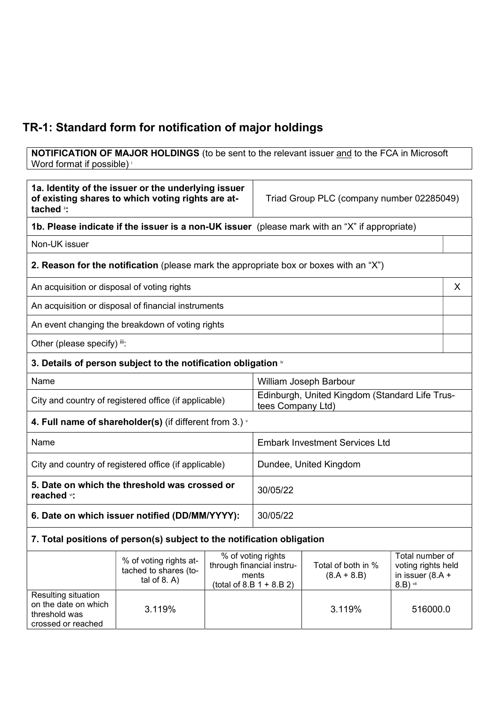## TR-1: Standard form for notification of major holdings

**NOTIFICATION OF MAJOR HOLDINGS** (to be sent to the relevant issuer and to the FCA in Microsoft Word format if possible) <sup>i</sup>

| 1a. Identity of the issuer or the underlying issuer<br>of existing shares to which voting rights are at-<br>tached ": |                                                                                               | Triad Group PLC (company number 02285049) |                                                                                         |                                       |                                                                         |   |
|-----------------------------------------------------------------------------------------------------------------------|-----------------------------------------------------------------------------------------------|-------------------------------------------|-----------------------------------------------------------------------------------------|---------------------------------------|-------------------------------------------------------------------------|---|
|                                                                                                                       | 1b. Please indicate if the issuer is a non-UK issuer (please mark with an "X" if appropriate) |                                           |                                                                                         |                                       |                                                                         |   |
| Non-UK issuer                                                                                                         |                                                                                               |                                           |                                                                                         |                                       |                                                                         |   |
|                                                                                                                       | <b>2. Reason for the notification</b> (please mark the appropriate box or boxes with an "X")  |                                           |                                                                                         |                                       |                                                                         |   |
| An acquisition or disposal of voting rights                                                                           |                                                                                               |                                           |                                                                                         |                                       |                                                                         | X |
|                                                                                                                       | An acquisition or disposal of financial instruments                                           |                                           |                                                                                         |                                       |                                                                         |   |
|                                                                                                                       | An event changing the breakdown of voting rights                                              |                                           |                                                                                         |                                       |                                                                         |   |
| Other (please specify) iii:                                                                                           |                                                                                               |                                           |                                                                                         |                                       |                                                                         |   |
|                                                                                                                       | 3. Details of person subject to the notification obligation $\dot{ }$                         |                                           |                                                                                         |                                       |                                                                         |   |
| Name                                                                                                                  |                                                                                               |                                           | William Joseph Barbour                                                                  |                                       |                                                                         |   |
| City and country of registered office (if applicable)                                                                 |                                                                                               |                                           | Edinburgh, United Kingdom (Standard Life Trus-<br>tees Company Ltd)                     |                                       |                                                                         |   |
| 4. Full name of shareholder(s) (if different from 3.) $\dot{ }$                                                       |                                                                                               |                                           |                                                                                         |                                       |                                                                         |   |
| Name                                                                                                                  |                                                                                               |                                           |                                                                                         | <b>Embark Investment Services Ltd</b> |                                                                         |   |
| City and country of registered office (if applicable)                                                                 |                                                                                               |                                           | Dundee, United Kingdom                                                                  |                                       |                                                                         |   |
| 5. Date on which the threshold was crossed or<br>reached vi:                                                          |                                                                                               |                                           | 30/05/22                                                                                |                                       |                                                                         |   |
| 6. Date on which issuer notified (DD/MM/YYYY):                                                                        |                                                                                               |                                           | 30/05/22                                                                                |                                       |                                                                         |   |
|                                                                                                                       | 7. Total positions of person(s) subject to the notification obligation                        |                                           |                                                                                         |                                       |                                                                         |   |
|                                                                                                                       | % of voting rights at-<br>tached to shares (to-<br>tal of $8. A$ )                            |                                           | % of voting rights<br>through financial instru-<br>ments<br>(total of 8.B $1 + 8.B 2$ ) | Total of both in %<br>$(8.A + 8.B)$   | Total number of<br>voting rights held<br>in issuer $(8.A +$<br>8.B) vii |   |
| Resulting situation<br>on the date on which<br>threshold was<br>crossed or reached                                    | 3.119%                                                                                        |                                           |                                                                                         | 3.119%                                | 516000.0                                                                |   |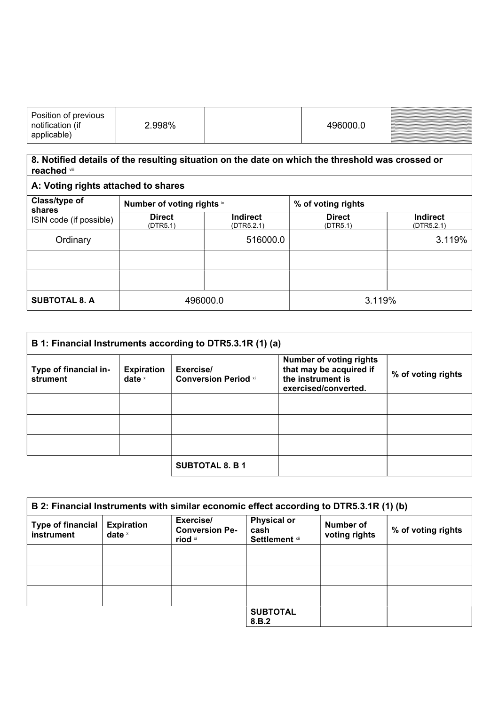| Position of previous<br>notification (if<br>applicable) | 2.998% | 496000.0 | <u> Little van de staatske kommunente om de staatske kommunente om de staatske kommunente om de staatske kommunente om de staatske kommunente om de staatske kommunente om de staatske kommunente om de staatske kommunente om d</u> |
|---------------------------------------------------------|--------|----------|--------------------------------------------------------------------------------------------------------------------------------------------------------------------------------------------------------------------------------------|
|---------------------------------------------------------|--------|----------|--------------------------------------------------------------------------------------------------------------------------------------------------------------------------------------------------------------------------------------|

## 8. Notified details of the resulting situation on the date on which the threshold was crossed or reached viii

| A: Voting rights attached to shares |                            |                               |                           |                               |
|-------------------------------------|----------------------------|-------------------------------|---------------------------|-------------------------------|
| Class/type of<br>shares             | Number of voting rights ix |                               | % of voting rights        |                               |
| ISIN code (if possible)             | <b>Direct</b><br>(DTR5.1)  | <b>Indirect</b><br>(DTR5.2.1) | <b>Direct</b><br>(DTR5.1) | <b>Indirect</b><br>(DTR5.2.1) |
| Ordinary                            |                            | 516000.0                      |                           | 3.119%                        |
|                                     |                            |                               |                           |                               |
|                                     |                            |                               |                           |                               |
| <b>SUBTOTAL 8. A</b>                | 496000.0                   |                               | 3.119%                    |                               |

| B 1: Financial Instruments according to DTR5.3.1R (1) (a) |                               |                                          |                                                                                                        |                    |
|-----------------------------------------------------------|-------------------------------|------------------------------------------|--------------------------------------------------------------------------------------------------------|--------------------|
| Type of financial in-<br>strument                         | <b>Expiration</b><br>date $x$ | Exercise/<br><b>Conversion Period xi</b> | <b>Number of voting rights</b><br>that may be acquired if<br>the instrument is<br>exercised/converted. | % of voting rights |
|                                                           |                               |                                          |                                                                                                        |                    |
|                                                           |                               |                                          |                                                                                                        |                    |
|                                                           |                               |                                          |                                                                                                        |                    |
|                                                           |                               | <b>SUBTOTAL 8. B 1</b>                   |                                                                                                        |                    |

| B 2: Financial Instruments with similar economic effect according to DTR5.3.1R (1) (b) |                               |                                               |                                                     |                            |                    |
|----------------------------------------------------------------------------------------|-------------------------------|-----------------------------------------------|-----------------------------------------------------|----------------------------|--------------------|
| <b>Type of financial</b><br>instrument                                                 | <b>Expiration</b><br>date $x$ | Exercise/<br><b>Conversion Pe-</b><br>riod xi | <b>Physical or</b><br>cash<br><b>Settlement xii</b> | Number of<br>voting rights | % of voting rights |
|                                                                                        |                               |                                               |                                                     |                            |                    |
|                                                                                        |                               |                                               |                                                     |                            |                    |
|                                                                                        |                               |                                               |                                                     |                            |                    |
|                                                                                        |                               |                                               | <b>SUBTOTAL</b><br>8.B.2                            |                            |                    |